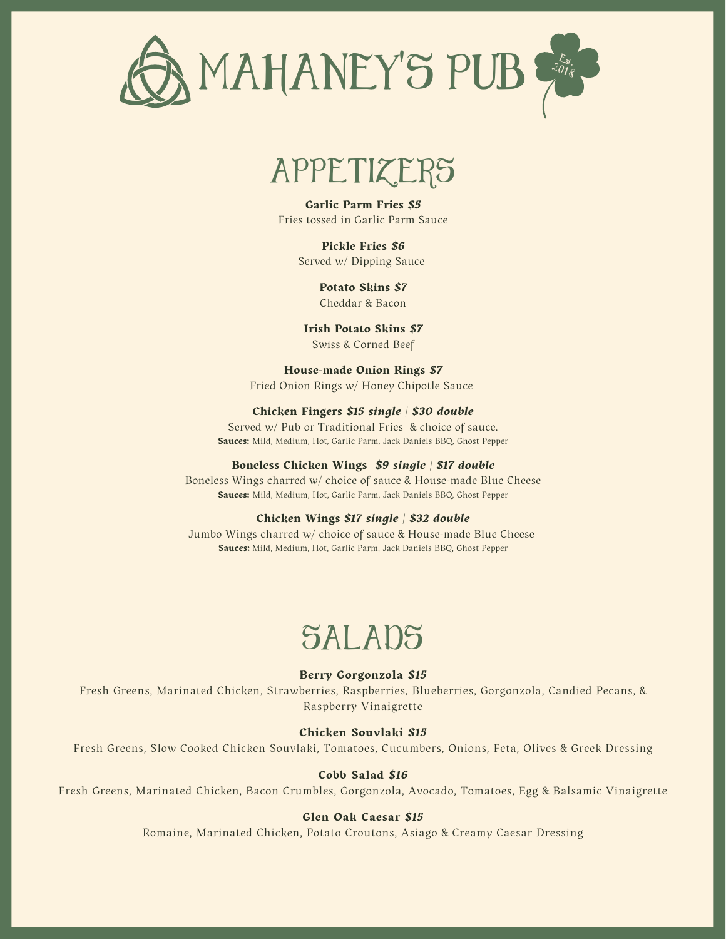

# APPETIZERS

**Garlic Parm Fries** *\$5* Fries tossed in Garlic Parm Sauce

> **Pickle Fries** *\$6* Served w/ Dipping Sauce

> > **Potato Skins** *\$7* Cheddar & Bacon

**Irish Potato Skins** *\$7* Swiss & Corned Beef

#### **House-made Onion Rings** *\$7*

Fried Onion Rings w/ Honey Chipotle Sauce

#### **Chicken Fingers** *\$15 single | \$30 double*

Served w/ Pub or Traditional Fries & choice of sauce. **Sauces:** Mild, Medium, Hot, Garlic Parm, Jack Daniels BBQ, Ghost Pepper

#### **Boneless Chicken Wings** *\$9 single | \$17 double*

Boneless Wings charred w/ choice of sauce & House-made Blue Cheese **Sauces:** Mild, Medium, Hot, Garlic Parm, Jack Daniels BBQ, Ghost Pepper

#### **Chicken Wings** *\$17 single | \$32 double*

Jumbo Wings charred w/ choice of sauce & House-made Blue Cheese **Sauces:** Mild, Medium, Hot, Garlic Parm, Jack Daniels BBQ, Ghost Pepper

# SALADS

#### **Berry Gorgonzola** *\$15*

Fresh Greens, Marinated Chicken, Strawberries, Raspberries, Blueberries, Gorgonzola, Candied Pecans, & Raspberry Vinaigrette

#### **Chicken Souvlaki** *\$15*

Fresh Greens, Slow Cooked Chicken Souvlaki, Tomatoes, Cucumbers, Onions, Feta, Olives & Greek Dressing

#### **Cobb Salad** *\$16*

Fresh Greens, Marinated Chicken, Bacon Crumbles, Gorgonzola, Avocado, Tomatoes, Egg & Balsamic Vinaigrette

#### **Glen Oak Caesar** *\$15*

Romaine, Marinated Chicken, Potato Croutons, Asiago & Creamy Caesar Dressing